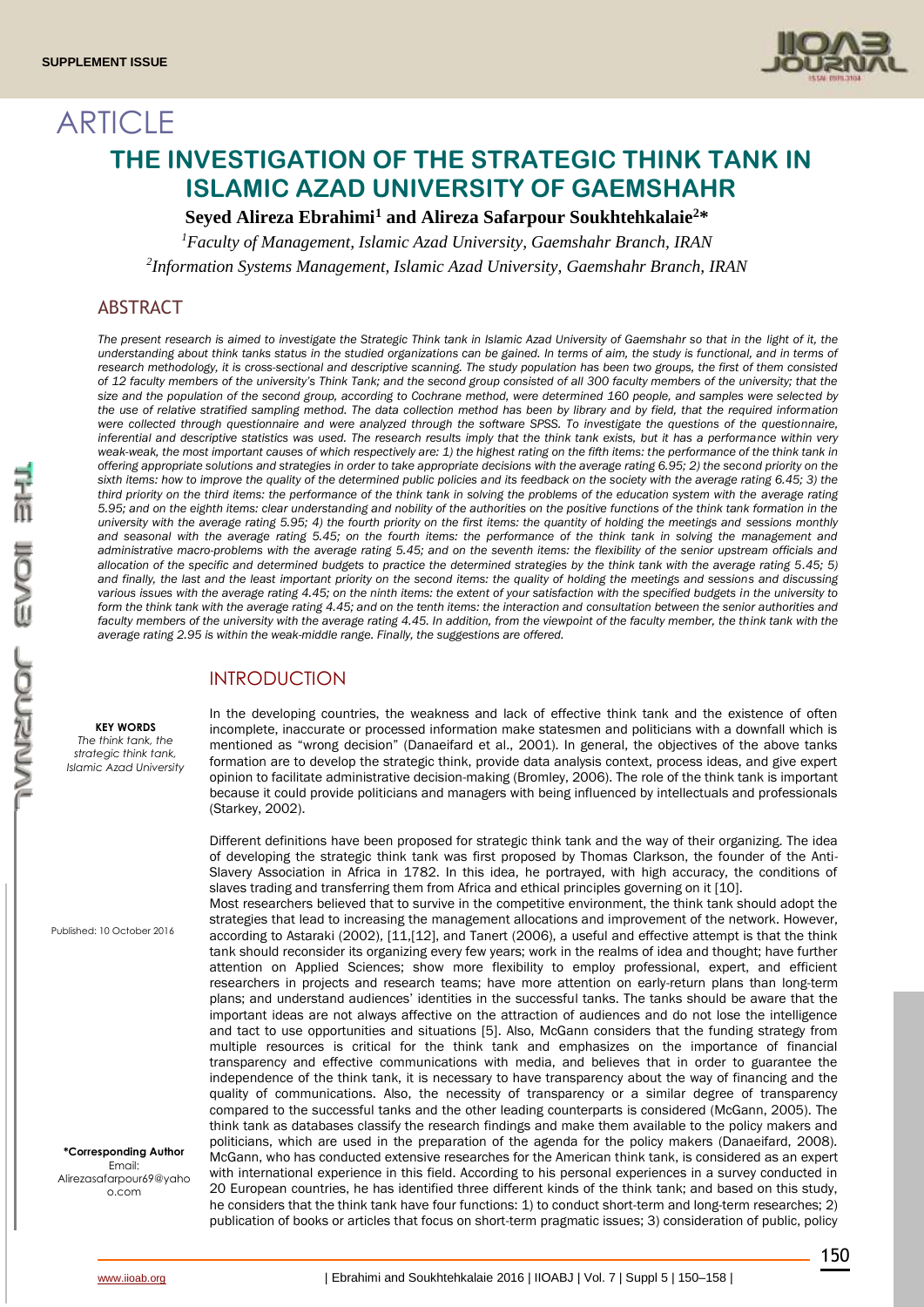

# **ARTICLE THE INVESTIGATION OF THE STRATEGIC THINK TANK IN ISLAMIC AZAD UNIVERSITY OF GAEMSHAHR**

# **Seyed Alireza Ebrahimi<sup>1</sup> and Alireza Safarpour Soukhtehkalaie<sup>2</sup>\***

*<sup>1</sup>Faculty of Management, Islamic Azad University, Gaemshahr Branch, IRAN 2 Information Systems Management, Islamic Azad University, Gaemshahr Branch, IRAN*

# ABSTRACT

The present research is aimed to investigate the Strategic Think tank in Islamic Azad University of Gaemshahr so that in the light of it, the understanding about think tanks status in the studied organizations can be gained. In terms of aim, the study is functional, and in terms of *research methodology, it is cross-sectional and descriptive scanning. The study population has been two groups, the first of them consisted of 12 faculty members of the university's Think Tank; and the second group consisted of all 300 faculty members of the university; that the size and the population of the second group, according to Cochrane method, were determined 160 people, and samples were selected by the use of relative stratified sampling method. The data collection method has been by library and by field, that the required information were collected through questionnaire and were analyzed through the software SPSS. To investigate the questions of the questionnaire, inferential and descriptive statistics was used. The research results imply that the think tank exists, but it has a performance within very weak-weak, the most important causes of which respectively are: 1) the highest rating on the fifth items: the performance of the think tank in offering appropriate solutions and strategies in order to take appropriate decisions with the average rating 6.95; 2) the second priority on the*  sixth items: how to improve the quality of the determined public policies and its feedback on the society with the average rating 6.45; 3) the *third priority on the third items: the performance of the think tank in solving the problems of the education system with the average rating 5.95; and on the eighth items: clear understanding and nobility of the authorities on the positive functions of the think tank formation in the university with the average rating 5.95; 4) the fourth priority on the first items: the quantity of holding the meetings and sessions monthly and seasonal with the average rating 5.45; on the fourth items: the performance of the think tank in solving the management and administrative macro-problems with the average rating 5.45; and on the seventh items: the flexibility of the senior upstream officials and allocation of the specific and determined budgets to practice the determined strategies by the think tank with the average rating 5.45; 5) and finally, the last and the least important priority on the second items: the quality of holding the meetings and sessions and discussing various issues with the average rating 4.45; on the ninth items: the extent of your satisfaction with the specified budgets in the university to form the think tank with the average rating 4.45; and on the tenth items: the interaction and consultation between the senior authorities and*  faculty members of the university with the average rating 4.45. In addition, from the viewpoint of the faculty member, the think tank with the *average rating 2.95 is within the weak-middle range. Finally, the suggestions are offered.*

# INTRODUCTION

#### **KEY WORDS**

*The think tank, the strategic think tank, Islamic Azad University*

Published: 10 October 2016

**\*Corresponding Author** Email: Alirezasafarpour69@yaho o.com

In the developing countries, the weakness and lack of effective think tank and the existence of often incomplete, inaccurate or processed information make statesmen and politicians with a downfall which is mentioned as "wrong decision" (Danaeifard et al., 2001). In general, the objectives of the above tanks formation are to develop the strategic think, provide data analysis context, process ideas, and give expert opinion to facilitate administrative decision-making (Bromley, 2006). The role of the think tank is important because it could provide politicians and managers with being influenced by intellectuals and professionals (Starkey, 2002).

Different definitions have been proposed for strategic think tank and the way of their organizing. The idea of developing the strategic think tank was first proposed by Thomas Clarkson, the founder of the Anti-Slavery Association in Africa in 1782. In this idea, he portrayed, with high accuracy, the conditions of slaves trading and transferring them from Africa and ethical principles governing on it [10].

Most researchers believed that to survive in the competitive environment, the think tank should adopt the strategies that lead to increasing the management allocations and improvement of the network. However, according to Astaraki (2002), [11,[12], and Tanert (2006), a useful and effective attempt is that the think tank should reconsider its organizing every few years; work in the realms of idea and thought; have further attention on Applied Sciences; show more flexibility to employ professional, expert, and efficient researchers in projects and research teams; have more attention on early-return plans than long-term plans; and understand audiences' identities in the successful tanks. The tanks should be aware that the important ideas are not always affective on the attraction of audiences and do not lose the intelligence and tact to use opportunities and situations [5]. Also, McGann considers that the funding strategy from multiple resources is critical for the think tank and emphasizes on the importance of financial transparency and effective communications with media, and believes that in order to guarantee the independence of the think tank, it is necessary to have transparency about the way of financing and the quality of communications. Also, the necessity of transparency or a similar degree of transparency compared to the successful tanks and the other leading counterparts is considered (McGann, 2005). The think tank as databases classify the research findings and make them available to the policy makers and politicians, which are used in the preparation of the agenda for the policy makers (Danaeifard, 2008). McGann, who has conducted extensive researches for the American think tank, is considered as an expert with international experience in this field. According to his personal experiences in a survey conducted in 20 European countries, he has identified three different kinds of the think tank; and based on this study, he considers that the think tank have four functions: 1) to conduct short-term and long-term researches; 2) publication of books or articles that focus on short-term pragmatic issues; 3) consideration of public, policy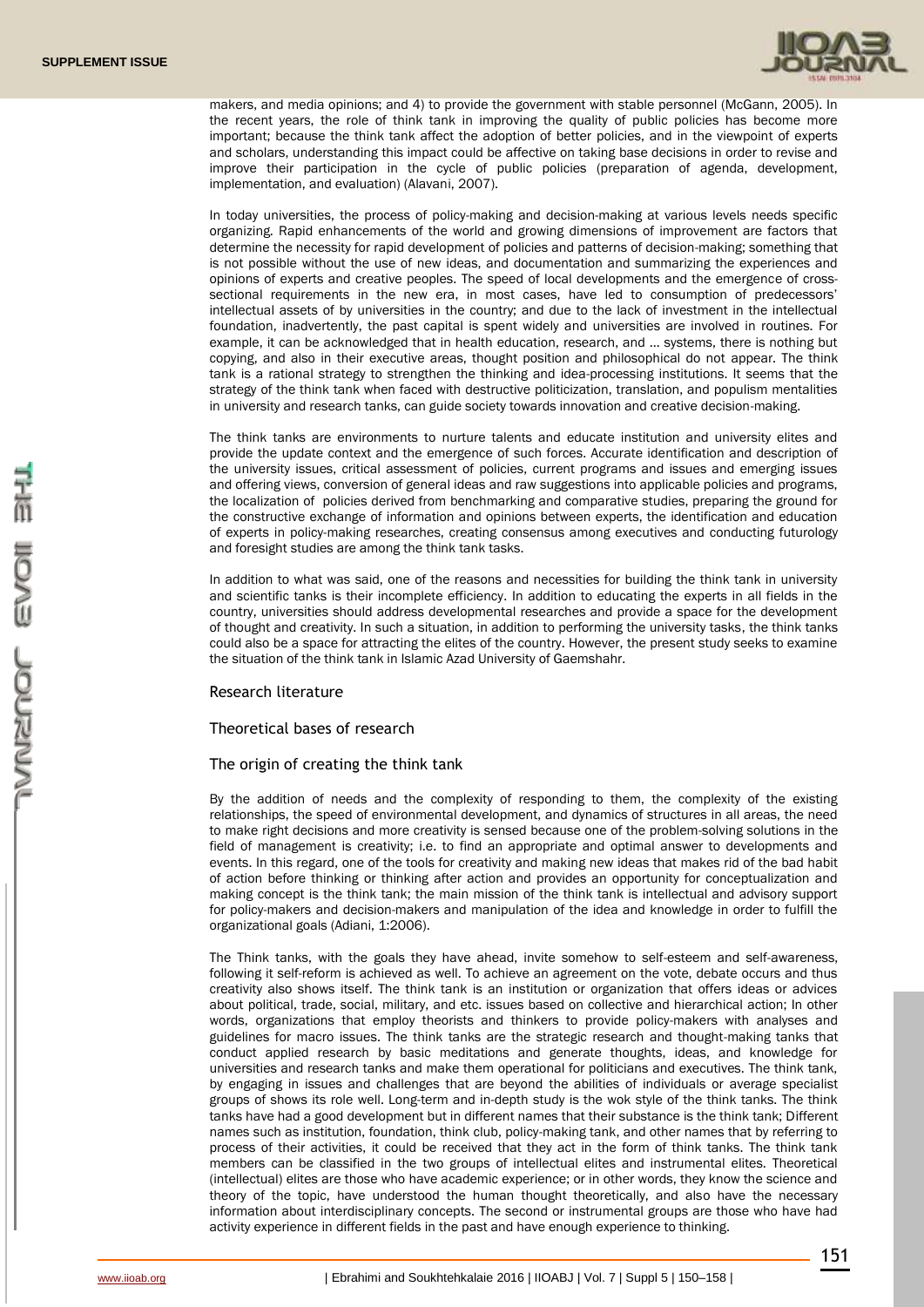

makers, and media opinions; and 4) to provide the government with stable personnel (McGann, 2005). In the recent years, the role of think tank in improving the quality of public policies has become more important; because the think tank affect the adoption of better policies, and in the viewpoint of experts and scholars, understanding this impact could be affective on taking base decisions in order to revise and improve their participation in the cycle of public policies (preparation of agenda, development, implementation, and evaluation) (Alavani, 2007).

In today universities, the process of policy-making and decision-making at various levels needs specific organizing. Rapid enhancements of the world and growing dimensions of improvement are factors that determine the necessity for rapid development of policies and patterns of decision-making; something that is not possible without the use of new ideas, and documentation and summarizing the experiences and opinions of experts and creative peoples. The speed of local developments and the emergence of crosssectional requirements in the new era, in most cases, have led to consumption of predecessors' intellectual assets of by universities in the country; and due to the lack of investment in the intellectual foundation, inadvertently, the past capital is spent widely and universities are involved in routines. For example, it can be acknowledged that in health education, research, and … systems, there is nothing but copying, and also in their executive areas, thought position and philosophical do not appear. The think tank is a rational strategy to strengthen the thinking and idea-processing institutions. It seems that the strategy of the think tank when faced with destructive politicization, translation, and populism mentalities in university and research tanks, can guide society towards innovation and creative decision-making.

The think tanks are environments to nurture talents and educate institution and university elites and provide the update context and the emergence of such forces. Accurate identification and description of the university issues, critical assessment of policies, current programs and issues and emerging issues and offering views, conversion of general ideas and raw suggestions into applicable policies and programs, the localization of policies derived from benchmarking and comparative studies, preparing the ground for the constructive exchange of information and opinions between experts, the identification and education of experts in policy-making researches, creating consensus among executives and conducting futurology and foresight studies are among the think tank tasks.

In addition to what was said, one of the reasons and necessities for building the think tank in university and scientific tanks is their incomplete efficiency. In addition to educating the experts in all fields in the country, universities should address developmental researches and provide a space for the development of thought and creativity. In such a situation, in addition to performing the university tasks, the think tanks could also be a space for attracting the elites of the country. However, the present study seeks to examine the situation of the think tank in Islamic Azad University of Gaemshahr.

# Research literature

# Theoretical bases of research

# The origin of creating the think tank

By the addition of needs and the complexity of responding to them, the complexity of the existing relationships, the speed of environmental development, and dynamics of structures in all areas, the need to make right decisions and more creativity is sensed because one of the problem-solving solutions in the field of management is creativity; i.e. to find an appropriate and optimal answer to developments and events. In this regard, one of the tools for creativity and making new ideas that makes rid of the bad habit of action before thinking or thinking after action and provides an opportunity for conceptualization and making concept is the think tank; the main mission of the think tank is intellectual and advisory support for policy-makers and decision-makers and manipulation of the idea and knowledge in order to fulfill the organizational goals (Adiani, 1:2006).

The Think tanks, with the goals they have ahead, invite somehow to self-esteem and self-awareness, following it self-reform is achieved as well. To achieve an agreement on the vote, debate occurs and thus creativity also shows itself. The think tank is an institution or organization that offers ideas or advices about political, trade, social, military, and etc. issues based on collective and hierarchical action; In other words, organizations that employ theorists and thinkers to provide policy-makers with analyses and guidelines for macro issues. The think tanks are the strategic research and thought-making tanks that conduct applied research by basic meditations and generate thoughts, ideas, and knowledge for universities and research tanks and make them operational for politicians and executives. The think tank, by engaging in issues and challenges that are beyond the abilities of individuals or average specialist groups of shows its role well. Long-term and in-depth study is the wok style of the think tanks. The think tanks have had a good development but in different names that their substance is the think tank; Different names such as institution, foundation, think club, policy-making tank, and other names that by referring to process of their activities, it could be received that they act in the form of think tanks. The think tank members can be classified in the two groups of intellectual elites and instrumental elites. Theoretical (intellectual) elites are those who have academic experience; or in other words, they know the science and theory of the topic, have understood the human thought theoretically, and also have the necessary information about interdisciplinary concepts. The second or instrumental groups are those who have had activity experience in different fields in the past and have enough experience to thinking.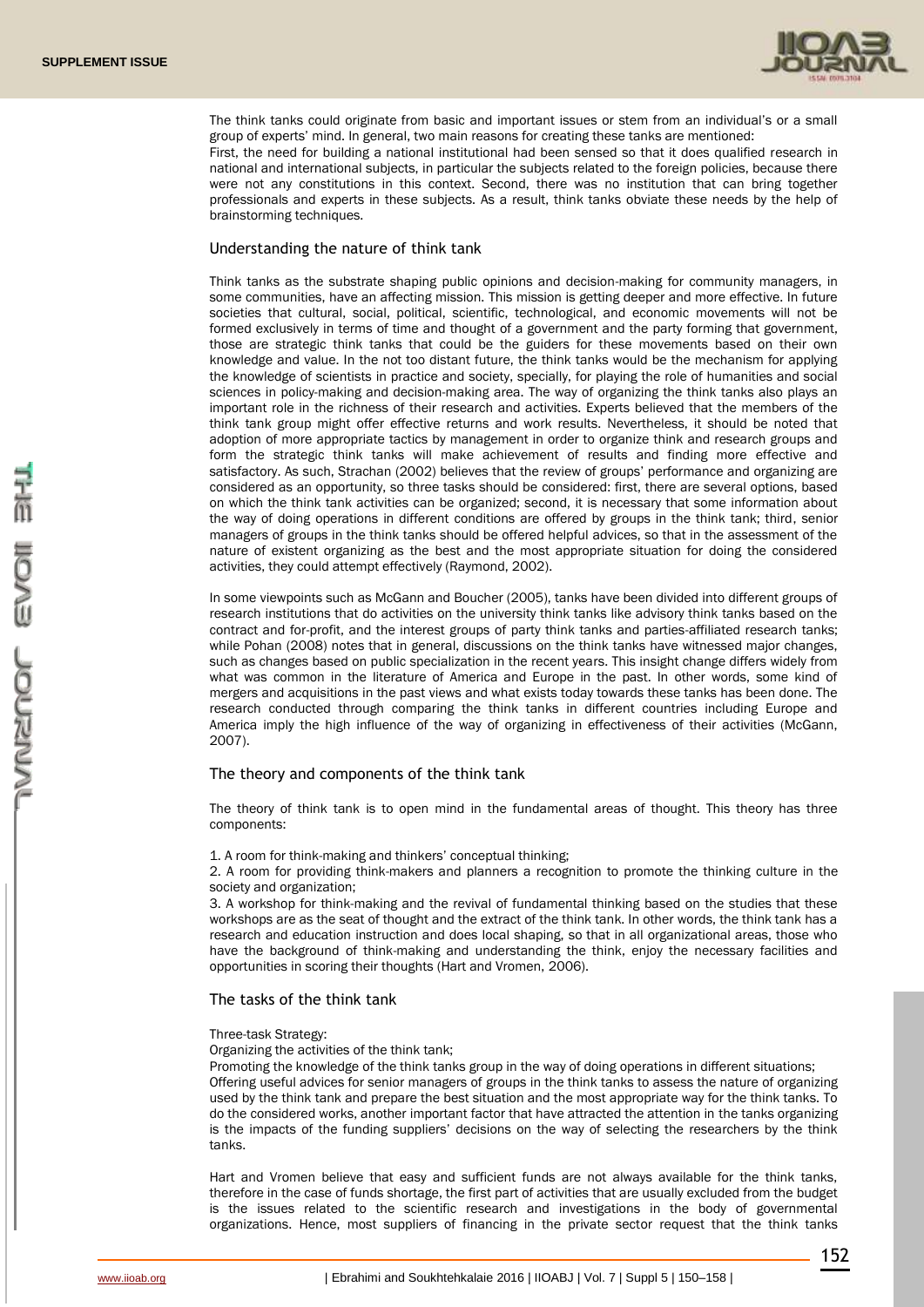

The think tanks could originate from basic and important issues or stem from an individual's or a small group of experts' mind. In general, two main reasons for creating these tanks are mentioned:

First, the need for building a national institutional had been sensed so that it does qualified research in national and international subjects, in particular the subjects related to the foreign policies, because there were not any constitutions in this context. Second, there was no institution that can bring together professionals and experts in these subjects. As a result, think tanks obviate these needs by the help of brainstorming techniques.

# Understanding the nature of think tank

Think tanks as the substrate shaping public opinions and decision-making for community managers, in some communities, have an affecting mission. This mission is getting deeper and more effective. In future societies that cultural, social, political, scientific, technological, and economic movements will not be formed exclusively in terms of time and thought of a government and the party forming that government, those are strategic think tanks that could be the guiders for these movements based on their own knowledge and value. In the not too distant future, the think tanks would be the mechanism for applying the knowledge of scientists in practice and society, specially, for playing the role of humanities and social sciences in policy-making and decision-making area. The way of organizing the think tanks also plays an important role in the richness of their research and activities. Experts believed that the members of the think tank group might offer effective returns and work results. Nevertheless, it should be noted that adoption of more appropriate tactics by management in order to organize think and research groups and form the strategic think tanks will make achievement of results and finding more effective and satisfactory. As such, Strachan (2002) believes that the review of groups' performance and organizing are considered as an opportunity, so three tasks should be considered: first, there are several options, based on which the think tank activities can be organized; second, it is necessary that some information about the way of doing operations in different conditions are offered by groups in the think tank; third, senior managers of groups in the think tanks should be offered helpful advices, so that in the assessment of the nature of existent organizing as the best and the most appropriate situation for doing the considered activities, they could attempt effectively (Raymond, 2002).

In some viewpoints such as McGann and Boucher (2005), tanks have been divided into different groups of research institutions that do activities on the university think tanks like advisory think tanks based on the contract and for-profit, and the interest groups of party think tanks and parties-affiliated research tanks; while Pohan (2008) notes that in general, discussions on the think tanks have witnessed major changes, such as changes based on public specialization in the recent years. This insight change differs widely from what was common in the literature of America and Europe in the past. In other words, some kind of mergers and acquisitions in the past views and what exists today towards these tanks has been done. The research conducted through comparing the think tanks in different countries including Europe and America imply the high influence of the way of organizing in effectiveness of their activities (McGann, 2007).

# The theory and components of the think tank

The theory of think tank is to open mind in the fundamental areas of thought. This theory has three components:

1. A room for think-making and thinkers' conceptual thinking;

2. A room for providing think-makers and planners a recognition to promote the thinking culture in the society and organization;

3. A workshop for think-making and the revival of fundamental thinking based on the studies that these workshops are as the seat of thought and the extract of the think tank. In other words, the think tank has a research and education instruction and does local shaping, so that in all organizational areas, those who have the background of think-making and understanding the think, enjoy the necessary facilities and opportunities in scoring their thoughts (Hart and Vromen, 2006).

# The tasks of the think tank

#### Three-task Strategy:

Organizing the activities of the think tank;

Promoting the knowledge of the think tanks group in the way of doing operations in different situations; Offering useful advices for senior managers of groups in the think tanks to assess the nature of organizing used by the think tank and prepare the best situation and the most appropriate way for the think tanks. To do the considered works, another important factor that have attracted the attention in the tanks organizing is the impacts of the funding suppliers' decisions on the way of selecting the researchers by the think tanks.

Hart and Vromen believe that easy and sufficient funds are not always available for the think tanks, therefore in the case of funds shortage, the first part of activities that are usually excluded from the budget is the issues related to the scientific research and investigations in the body of governmental organizations. Hence, most suppliers of financing in the private sector request that the think tanks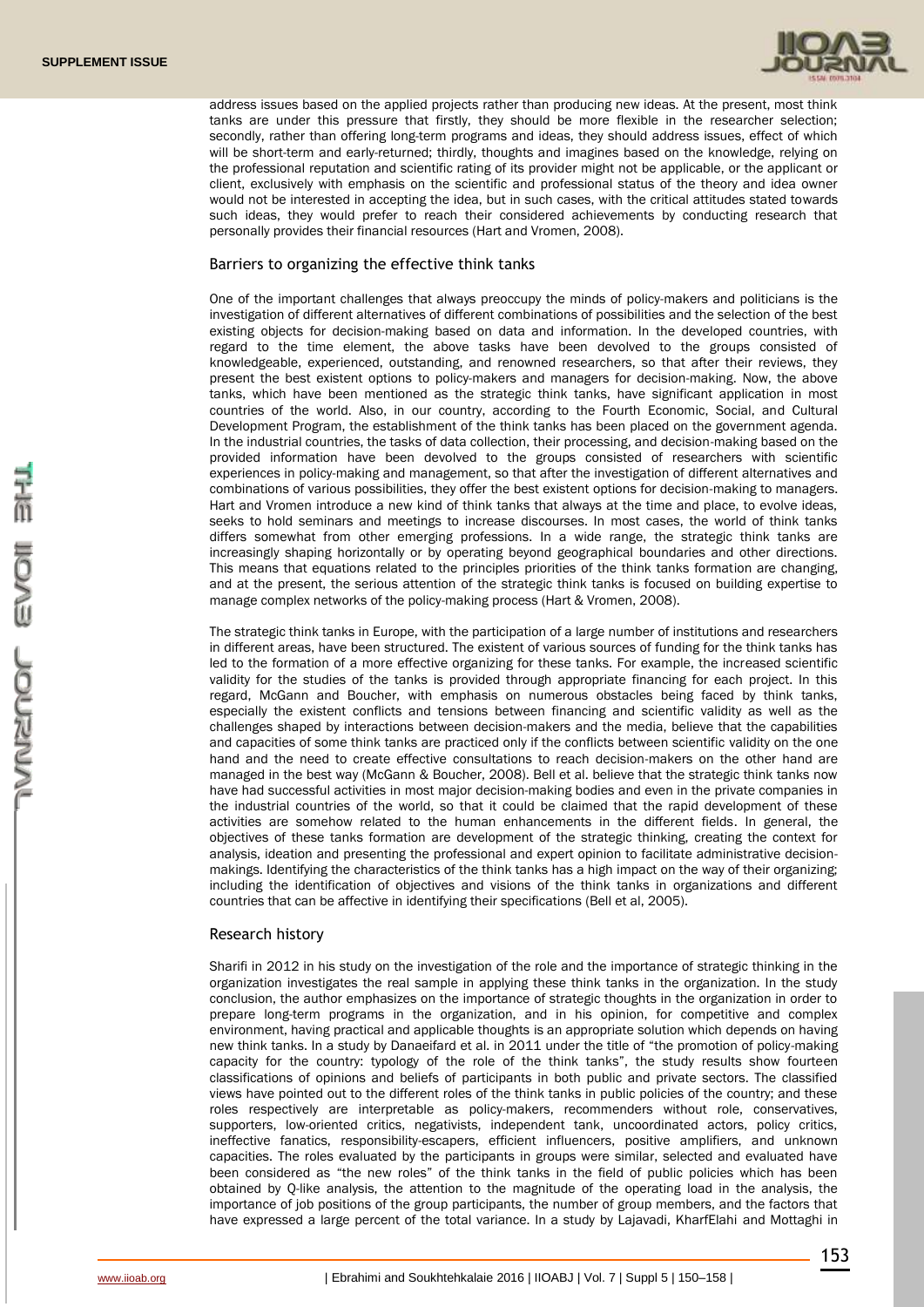

address issues based on the applied projects rather than producing new ideas. At the present, most think tanks are under this pressure that firstly, they should be more flexible in the researcher selection; secondly, rather than offering long-term programs and ideas, they should address issues, effect of which will be short-term and early-returned; thirdly, thoughts and imagines based on the knowledge, relying on the professional reputation and scientific rating of its provider might not be applicable, or the applicant or client, exclusively with emphasis on the scientific and professional status of the theory and idea owner would not be interested in accepting the idea, but in such cases, with the critical attitudes stated towards such ideas, they would prefer to reach their considered achievements by conducting research that personally provides their financial resources (Hart and Vromen, 2008).

# Barriers to organizing the effective think tanks

One of the important challenges that always preoccupy the minds of policy-makers and politicians is the investigation of different alternatives of different combinations of possibilities and the selection of the best existing objects for decision-making based on data and information. In the developed countries, with regard to the time element, the above tasks have been devolved to the groups consisted of knowledgeable, experienced, outstanding, and renowned researchers, so that after their reviews, they present the best existent options to policy-makers and managers for decision-making. Now, the above tanks, which have been mentioned as the strategic think tanks, have significant application in most countries of the world. Also, in our country, according to the Fourth Economic, Social, and Cultural Development Program, the establishment of the think tanks has been placed on the government agenda. In the industrial countries, the tasks of data collection, their processing, and decision-making based on the provided information have been devolved to the groups consisted of researchers with scientific experiences in policy-making and management, so that after the investigation of different alternatives and combinations of various possibilities, they offer the best existent options for decision-making to managers. Hart and Vromen introduce a new kind of think tanks that always at the time and place, to evolve ideas, seeks to hold seminars and meetings to increase discourses. In most cases, the world of think tanks differs somewhat from other emerging professions. In a wide range, the strategic think tanks are increasingly shaping horizontally or by operating beyond geographical boundaries and other directions. This means that equations related to the principles priorities of the think tanks formation are changing, and at the present, the serious attention of the strategic think tanks is focused on building expertise to manage complex networks of the policy-making process (Hart & Vromen, 2008).

The strategic think tanks in Europe, with the participation of a large number of institutions and researchers in different areas, have been structured. The existent of various sources of funding for the think tanks has led to the formation of a more effective organizing for these tanks. For example, the increased scientific validity for the studies of the tanks is provided through appropriate financing for each project. In this regard, McGann and Boucher, with emphasis on numerous obstacles being faced by think tanks, especially the existent conflicts and tensions between financing and scientific validity as well as the challenges shaped by interactions between decision-makers and the media, believe that the capabilities and capacities of some think tanks are practiced only if the conflicts between scientific validity on the one hand and the need to create effective consultations to reach decision-makers on the other hand are managed in the best way (McGann & Boucher, 2008). Bell et al. believe that the strategic think tanks now have had successful activities in most major decision-making bodies and even in the private companies in the industrial countries of the world, so that it could be claimed that the rapid development of these activities are somehow related to the human enhancements in the different fields. In general, the objectives of these tanks formation are development of the strategic thinking, creating the context for analysis, ideation and presenting the professional and expert opinion to facilitate administrative decisionmakings. Identifying the characteristics of the think tanks has a high impact on the way of their organizing; including the identification of objectives and visions of the think tanks in organizations and different countries that can be affective in identifying their specifications (Bell et al, 2005).

#### Research history

Sharifi in 2012 in his study on the investigation of the role and the importance of strategic thinking in the organization investigates the real sample in applying these think tanks in the organization. In the study conclusion, the author emphasizes on the importance of strategic thoughts in the organization in order to prepare long-term programs in the organization, and in his opinion, for competitive and complex environment, having practical and applicable thoughts is an appropriate solution which depends on having new think tanks. In a study by Danaeifard et al. in 2011 under the title of "the promotion of policy-making capacity for the country: typology of the role of the think tanks", the study results show fourteen classifications of opinions and beliefs of participants in both public and private sectors. The classified views have pointed out to the different roles of the think tanks in public policies of the country; and these roles respectively are interpretable as policy-makers, recommenders without role, conservatives, supporters, low-oriented critics, negativists, independent tank, uncoordinated actors, policy critics, ineffective fanatics, responsibility-escapers, efficient influencers, positive amplifiers, and unknown capacities. The roles evaluated by the participants in groups were similar, selected and evaluated have been considered as "the new roles" of the think tanks in the field of public policies which has been obtained by Q-like analysis, the attention to the magnitude of the operating load in the analysis, the importance of job positions of the group participants, the number of group members, and the factors that have expressed a large percent of the total variance. In a study by Lajavadi, KharfElahi and Mottaghi in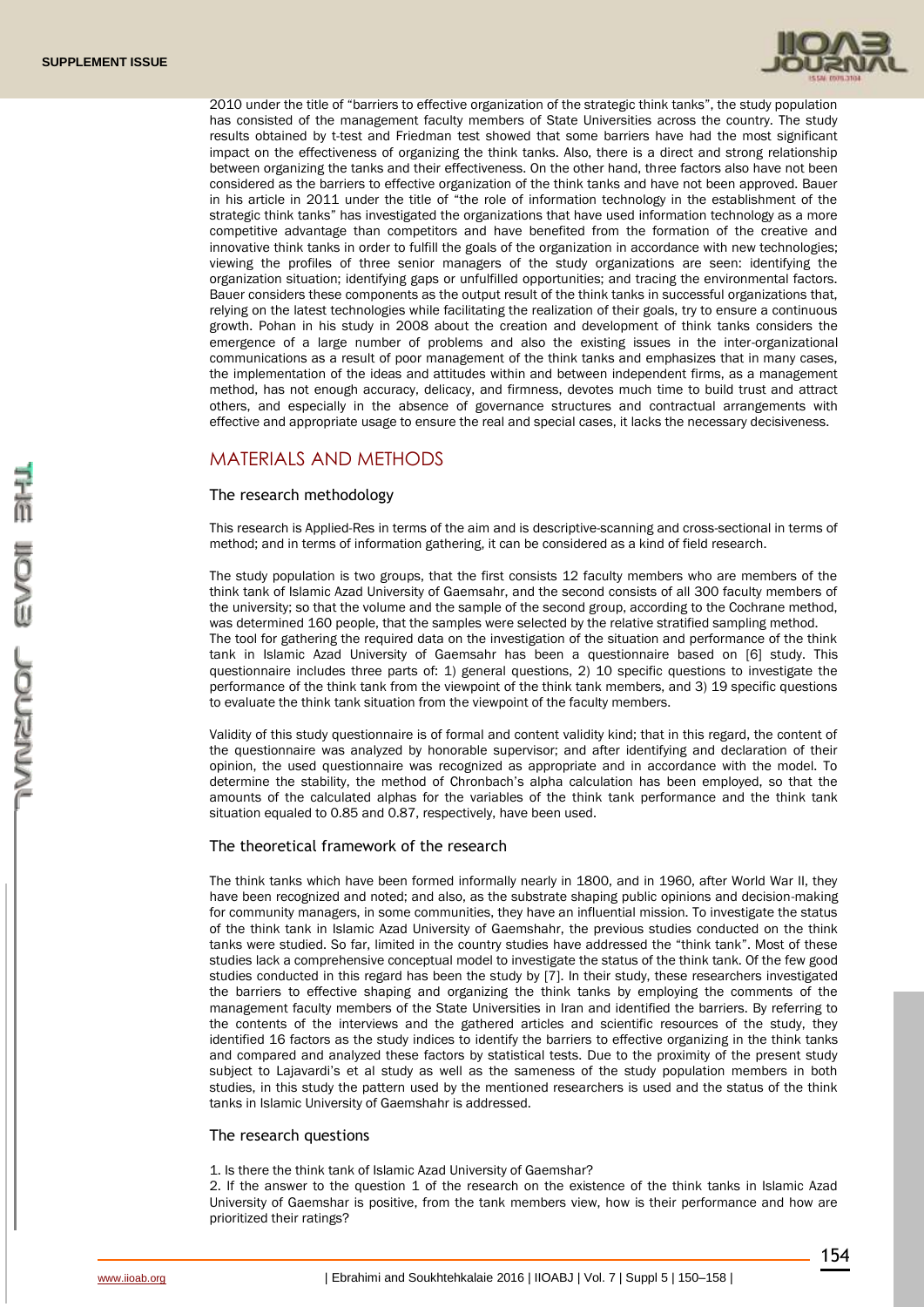

2010 under the title of "barriers to effective organization of the strategic think tanks", the study population has consisted of the management faculty members of State Universities across the country. The study results obtained by t-test and Friedman test showed that some barriers have had the most significant impact on the effectiveness of organizing the think tanks. Also, there is a direct and strong relationship between organizing the tanks and their effectiveness. On the other hand, three factors also have not been considered as the barriers to effective organization of the think tanks and have not been approved. Bauer in his article in 2011 under the title of "the role of information technology in the establishment of the strategic think tanks" has investigated the organizations that have used information technology as a more competitive advantage than competitors and have benefited from the formation of the creative and innovative think tanks in order to fulfill the goals of the organization in accordance with new technologies; viewing the profiles of three senior managers of the study organizations are seen: identifying the organization situation; identifying gaps or unfulfilled opportunities; and tracing the environmental factors. Bauer considers these components as the output result of the think tanks in successful organizations that, relying on the latest technologies while facilitating the realization of their goals, try to ensure a continuous growth. Pohan in his study in 2008 about the creation and development of think tanks considers the emergence of a large number of problems and also the existing issues in the inter-organizational communications as a result of poor management of the think tanks and emphasizes that in many cases, the implementation of the ideas and attitudes within and between independent firms, as a management method, has not enough accuracy, delicacy, and firmness, devotes much time to build trust and attract others, and especially in the absence of governance structures and contractual arrangements with effective and appropriate usage to ensure the real and special cases, it lacks the necessary decisiveness.

# MATERIALS AND METHODS

# The research methodology

This research is Applied-Res in terms of the aim and is descriptive-scanning and cross-sectional in terms of method; and in terms of information gathering, it can be considered as a kind of field research.

The study population is two groups, that the first consists 12 faculty members who are members of the think tank of Islamic Azad University of Gaemsahr, and the second consists of all 300 faculty members of the university; so that the volume and the sample of the second group, according to the Cochrane method, was determined 160 people, that the samples were selected by the relative stratified sampling method. The tool for gathering the required data on the investigation of the situation and performance of the think tank in Islamic Azad University of Gaemsahr has been a questionnaire based on [6] study. This questionnaire includes three parts of: 1) general questions, 2) 10 specific questions to investigate the performance of the think tank from the viewpoint of the think tank members, and 3) 19 specific questions to evaluate the think tank situation from the viewpoint of the faculty members.

Validity of this study questionnaire is of formal and content validity kind; that in this regard, the content of the questionnaire was analyzed by honorable supervisor; and after identifying and declaration of their opinion, the used questionnaire was recognized as appropriate and in accordance with the model. To determine the stability, the method of Chronbach's alpha calculation has been employed, so that the amounts of the calculated alphas for the variables of the think tank performance and the think tank situation equaled to 0.85 and 0.87, respectively, have been used.

# The theoretical framework of the research

The think tanks which have been formed informally nearly in 1800, and in 1960, after World War II, they have been recognized and noted; and also, as the substrate shaping public opinions and decision-making for community managers, in some communities, they have an influential mission. To investigate the status of the think tank in Islamic Azad University of Gaemshahr, the previous studies conducted on the think tanks were studied. So far, limited in the country studies have addressed the "think tank". Most of these studies lack a comprehensive conceptual model to investigate the status of the think tank. Of the few good studies conducted in this regard has been the study by [7]. In their study, these researchers investigated the barriers to effective shaping and organizing the think tanks by employing the comments of the management faculty members of the State Universities in Iran and identified the barriers. By referring to the contents of the interviews and the gathered articles and scientific resources of the study, they identified 16 factors as the study indices to identify the barriers to effective organizing in the think tanks and compared and analyzed these factors by statistical tests. Due to the proximity of the present study subject to Lajavardi's et al study as well as the sameness of the study population members in both studies, in this study the pattern used by the mentioned researchers is used and the status of the think tanks in Islamic University of Gaemshahr is addressed.

#### The research questions

1. Is there the think tank of Islamic Azad University of Gaemshar?

2. If the answer to the question 1 of the research on the existence of the think tanks in Islamic Azad University of Gaemshar is positive, from the tank members view, how is their performance and how are prioritized their ratings?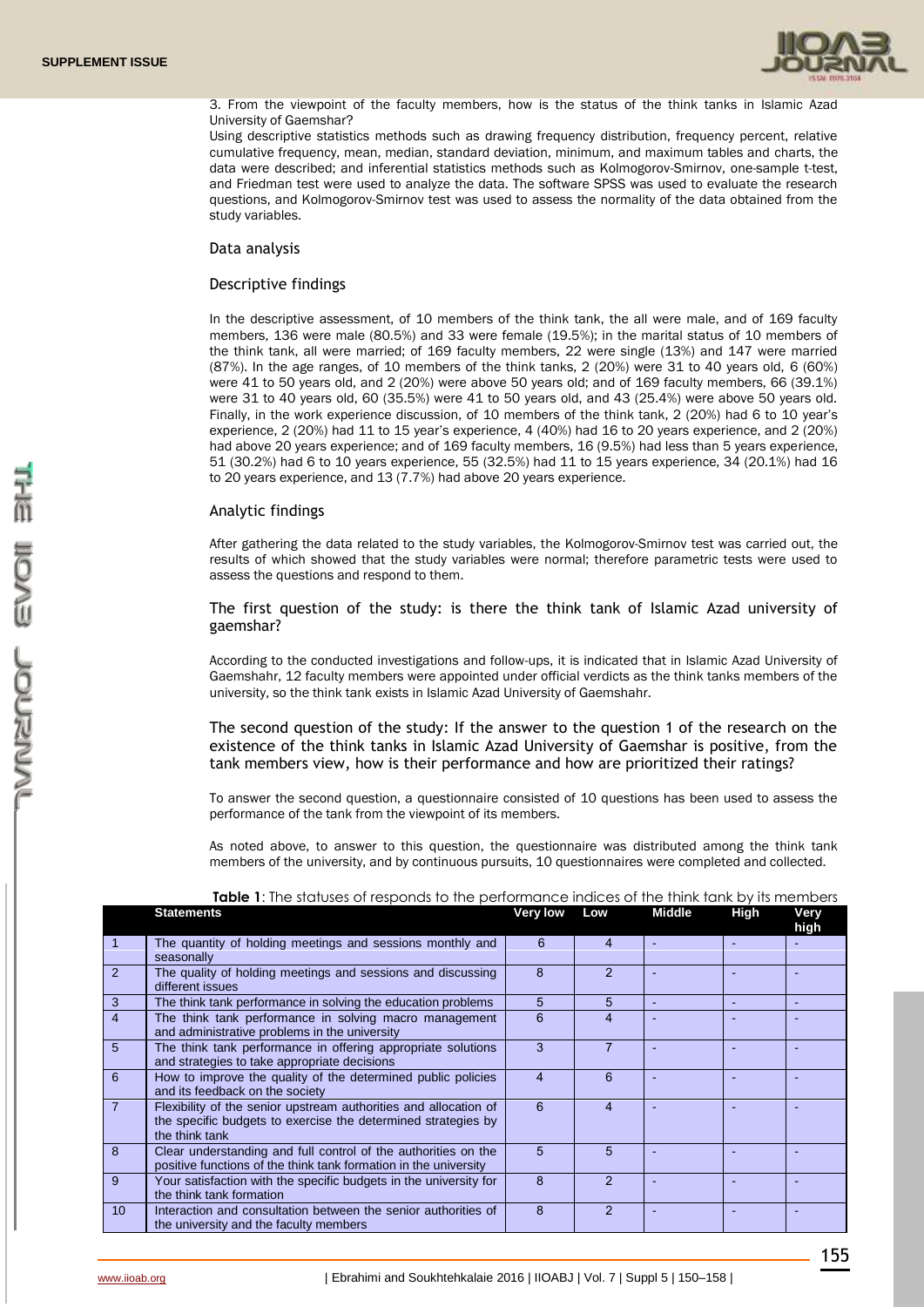

3. From the viewpoint of the faculty members, how is the status of the think tanks in Islamic Azad University of Gaemshar?

Using descriptive statistics methods such as drawing frequency distribution, frequency percent, relative cumulative frequency, mean, median, standard deviation, minimum, and maximum tables and charts, the data were described; and inferential statistics methods such as Kolmogorov-Smirnov, one-sample t-test, and Friedman test were used to analyze the data. The software SPSS was used to evaluate the research questions, and Kolmogorov-Smirnov test was used to assess the normality of the data obtained from the study variables.

# Data analysis

# Descriptive findings

In the descriptive assessment, of 10 members of the think tank, the all were male, and of 169 faculty members, 136 were male (80.5%) and 33 were female (19.5%); in the marital status of 10 members of the think tank, all were married; of 169 faculty members, 22 were single (13%) and 147 were married (87%). In the age ranges, of 10 members of the think tanks, 2 (20%) were 31 to 40 years old, 6 (60%) were 41 to 50 years old, and 2 (20%) were above 50 years old; and of 169 faculty members, 66 (39.1%) were 31 to 40 years old, 60 (35.5%) were 41 to 50 years old, and 43 (25.4%) were above 50 years old. Finally, in the work experience discussion, of 10 members of the think tank, 2 (20%) had 6 to 10 year's experience, 2 (20%) had 11 to 15 year's experience, 4 (40%) had 16 to 20 years experience, and 2 (20%) had above 20 years experience; and of 169 faculty members, 16 (9.5%) had less than 5 years experience, 51 (30.2%) had 6 to 10 years experience, 55 (32.5%) had 11 to 15 years experience, 34 (20.1%) had 16 to 20 years experience, and 13 (7.7%) had above 20 years experience.

# Analytic findings

After gathering the data related to the study variables, the Kolmogorov-Smirnov test was carried out, the results of which showed that the study variables were normal; therefore parametric tests were used to assess the questions and respond to them.

The first question of the study: is there the think tank of Islamic Azad university of gaemshar?

According to the conducted investigations and follow-ups, it is indicated that in Islamic Azad University of Gaemshahr, 12 faculty members were appointed under official verdicts as the think tanks members of the university, so the think tank exists in Islamic Azad University of Gaemshahr.

The second question of the study: If the answer to the question 1 of the research on the existence of the think tanks in Islamic Azad University of Gaemshar is positive, from the tank members view, how is their performance and how are prioritized their ratings?

To answer the second question, a questionnaire consisted of 10 questions has been used to assess the performance of the tank from the viewpoint of its members.

As noted above, to answer to this question, the questionnaire was distributed among the think tank members of the university, and by continuous pursuits, 10 questionnaires were completed and collected.

|                 | <b>Statements</b>                                                                                                                                   | Very low | Low           | <b>Middle</b> | High | Very<br>high |
|-----------------|-----------------------------------------------------------------------------------------------------------------------------------------------------|----------|---------------|---------------|------|--------------|
|                 | The quantity of holding meetings and sessions monthly and<br>seasonally                                                                             | 6        | 4             |               |      |              |
| $\overline{2}$  | The quality of holding meetings and sessions and discussing<br>different issues                                                                     | 8        | $\mathcal{P}$ |               |      |              |
| $\overline{3}$  | The think tank performance in solving the education problems                                                                                        | 5        | 5             |               |      |              |
| $\overline{4}$  | The think tank performance in solving macro management<br>and administrative problems in the university                                             | 6        |               |               |      |              |
| $5\overline{5}$ | The think tank performance in offering appropriate solutions<br>and strategies to take appropriate decisions                                        | 3        |               |               |      |              |
| 6               | How to improve the quality of the determined public policies<br>and its feedback on the society                                                     | 4        | 6             |               |      |              |
| $\overline{7}$  | Flexibility of the senior upstream authorities and allocation of<br>the specific budgets to exercise the determined strategies by<br>the think tank | 6        | 4             |               |      |              |
| 8               | Clear understanding and full control of the authorities on the<br>positive functions of the think tank formation in the university                  | 5        | 5             |               |      |              |
| -9              | Your satisfaction with the specific budgets in the university for<br>the think tank formation                                                       | 8        | $\mathcal{P}$ |               |      |              |
| 10 <sup>1</sup> | Interaction and consultation between the senior authorities of<br>the university and the faculty members                                            | 8        | 2             |               |      |              |

# **Table 1:** The statuses of responds to the performance indices of the think tank by its members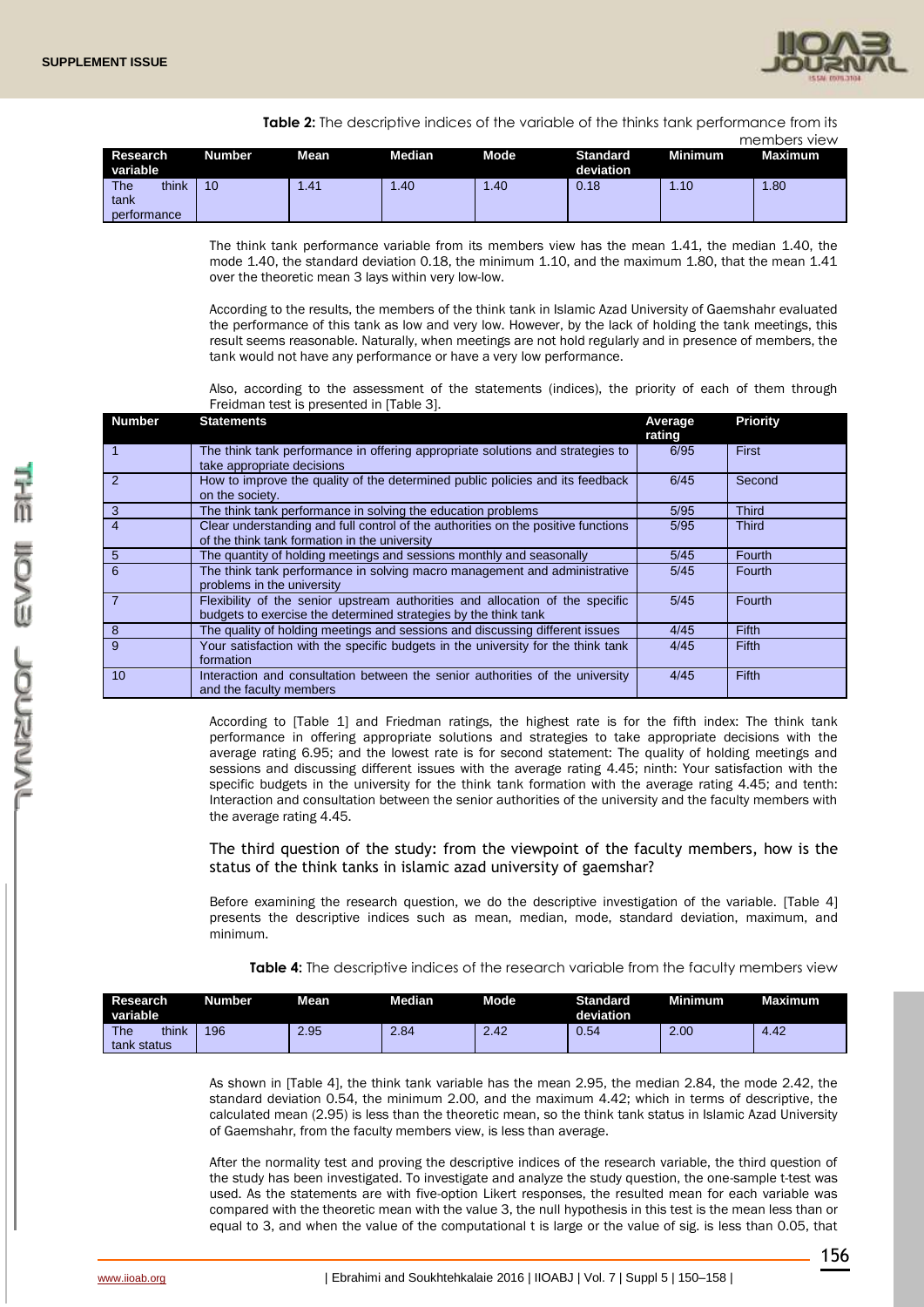

**Table 2:** The descriptive indices of the variable of the thinks tank performance from its

|                      |               |      |               |      |                              |                  | members view |
|----------------------|---------------|------|---------------|------|------------------------------|------------------|--------------|
| Research<br>variable | <b>Number</b> | Mean | <b>Median</b> | Mode | <b>Standard</b><br>deviation | <b>Minimum</b>   | Maximum      |
| The<br>think         | 10            | .41  | 1.40          | 1.40 | 0.18                         | $\overline{.10}$ | .80          |
| tank<br>performance  |               |      |               |      |                              |                  |              |

The think tank performance variable from its members view has the mean 1.41, the median 1.40, the mode 1.40, the standard deviation 0.18, the minimum 1.10, and the maximum 1.80, that the mean 1.41 over the theoretic mean 3 lays within very low-low.

According to the results, the members of the think tank in Islamic Azad University of Gaemshahr evaluated the performance of this tank as low and very low. However, by the lack of holding the tank meetings, this result seems reasonable. Naturally, when meetings are not hold regularly and in presence of members, the tank would not have any performance or have a very low performance.

Also, according to the assessment of the statements (indices), the priority of each of them through Freidman test is presented in [Table 3].

| <b>Number</b>   | <b>Statements</b>                                                                                                                                | Average<br>rating | <b>Priority</b> |
|-----------------|--------------------------------------------------------------------------------------------------------------------------------------------------|-------------------|-----------------|
|                 | The think tank performance in offering appropriate solutions and strategies to<br>take appropriate decisions                                     | 6/95              | First           |
| $\overline{2}$  | How to improve the quality of the determined public policies and its feedback<br>on the society.                                                 | 6/45              | Second          |
| $\overline{3}$  | The think tank performance in solving the education problems                                                                                     | 5/95              | <b>Third</b>    |
| $\overline{4}$  | Clear understanding and full control of the authorities on the positive functions<br>of the think tank formation in the university               | 5/95              | <b>Third</b>    |
| $5\overline{5}$ | The quantity of holding meetings and sessions monthly and seasonally                                                                             | 5/45              | <b>Fourth</b>   |
| 6               | The think tank performance in solving macro management and administrative<br>problems in the university                                          | 5/45              | Fourth          |
|                 | Flexibility of the senior upstream authorities and allocation of the specific<br>budgets to exercise the determined strategies by the think tank | 5/45              | Fourth          |
| 8               | The quality of holding meetings and sessions and discussing different issues                                                                     | 4/45              | Fifth           |
| 9               | Your satisfaction with the specific budgets in the university for the think tank<br>formation                                                    | 4/45              | Fifth           |
| 10              | Interaction and consultation between the senior authorities of the university<br>and the faculty members                                         | 4/45              | <b>Fifth</b>    |

According to [Table 1] and Friedman ratings, the highest rate is for the fifth index: The think tank performance in offering appropriate solutions and strategies to take appropriate decisions with the average rating 6.95; and the lowest rate is for second statement: The quality of holding meetings and sessions and discussing different issues with the average rating 4.45; ninth: Your satisfaction with the specific budgets in the university for the think tank formation with the average rating 4.45; and tenth: Interaction and consultation between the senior authorities of the university and the faculty members with the average rating 4.45.

The third question of the study: from the viewpoint of the faculty members, how is the status of the think tanks in islamic azad university of gaemshar?

Before examining the research question, we do the descriptive investigation of the variable. [Table 4] presents the descriptive indices such as mean, median, mode, standard deviation, maximum, and minimum.

**Table 4:** The descriptive indices of the research variable from the faculty members view

| Research<br>variable               | <b>Number</b> | Mean | Median | Mode | <b>Standard</b><br>deviation | Minimum <sup>1</sup> | <b>Maximum</b> |
|------------------------------------|---------------|------|--------|------|------------------------------|----------------------|----------------|
| <b>The</b><br>think<br>tank status | 196           | 2.95 | 2.84   | 2.42 | 0.54                         | 2.00                 | 4.42           |

As shown in [Table 4], the think tank variable has the mean 2.95, the median 2.84, the mode 2.42, the standard deviation 0.54, the minimum 2.00, and the maximum 4.42; which in terms of descriptive, the calculated mean (2.95) is less than the theoretic mean, so the think tank status in Islamic Azad University of Gaemshahr, from the faculty members view, is less than average.

After the normality test and proving the descriptive indices of the research variable, the third question of the study has been investigated. To investigate and analyze the study question, the one-sample t-test was used. As the statements are with five-option Likert responses, the resulted mean for each variable was compared with the theoretic mean with the value 3, the null hypothesis in this test is the mean less than or equal to 3, and when the value of the computational t is large or the value of sig. is less than 0.05, that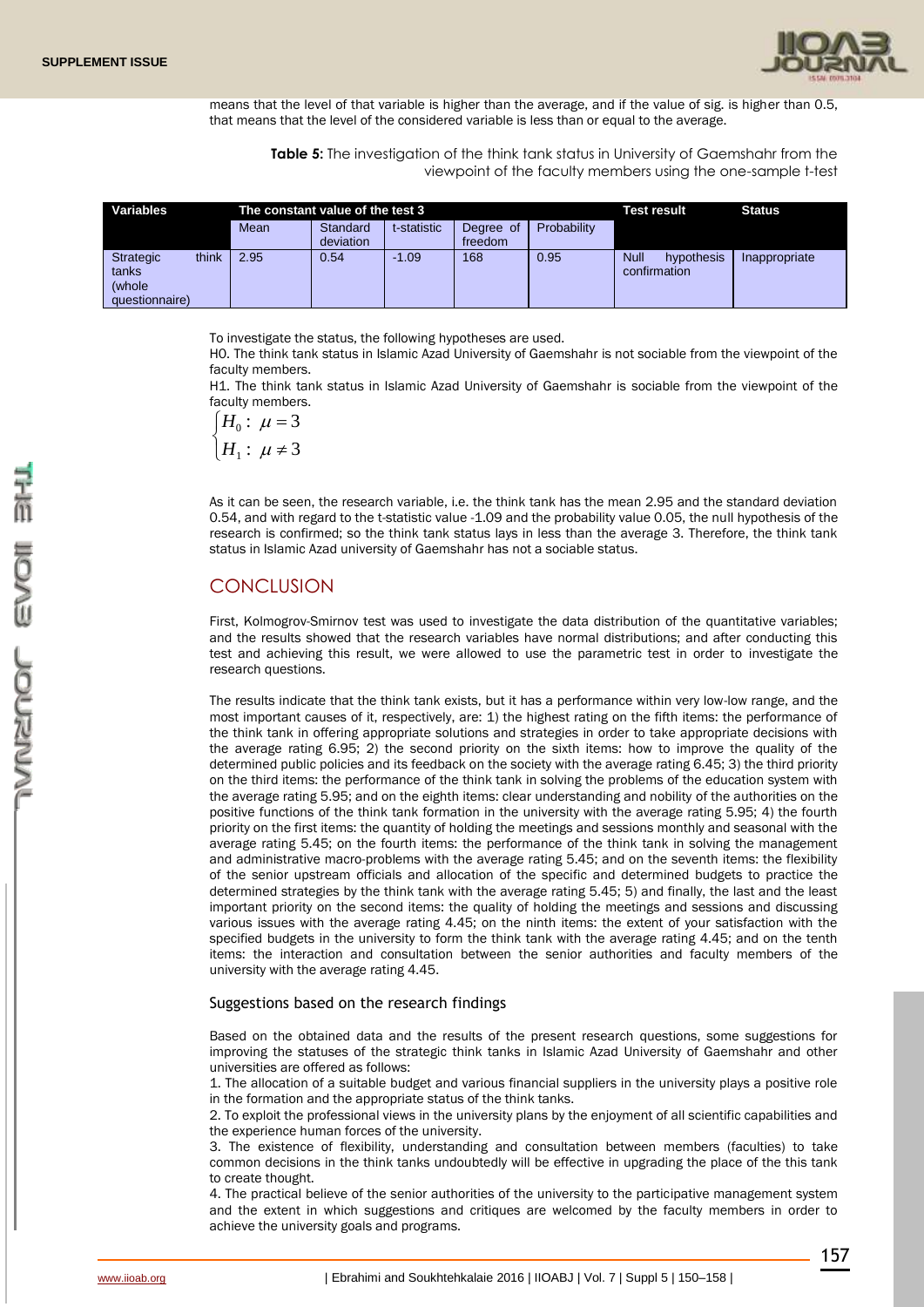

means that the level of that variable is higher than the average, and if the value of sig. is higher than 0.5, that means that the level of the considered variable is less than or equal to the average.

**Table 5:** The investigation of the think tank status in University of Gaemshahr from the viewpoint of the faculty members using the one-sample t-test

| Variables                                             |       | The constant value of the test 3 |                       |             |                      |             | Test result                               | <b>Status</b> |  |
|-------------------------------------------------------|-------|----------------------------------|-----------------------|-------------|----------------------|-------------|-------------------------------------------|---------------|--|
|                                                       |       | Mean                             | Standard<br>deviation | t-statistic | Degree of<br>freedom | Probability |                                           |               |  |
| <b>Strategic</b><br>tanks<br>(whole<br>questionnaire) | think | 2.95                             | 0.54                  | $-1.09$     | 168                  | 0.95        | <b>Null</b><br>hypothesis<br>confirmation | Inappropriate |  |

To investigate the status, the following hypotheses are used.

H0. The think tank status in Islamic Azad University of Gaemshahr is not sociable from the viewpoint of the faculty members.

H1. The think tank status in Islamic Azad University of Gaemshahr is sociable from the viewpoint of the faculty members.

$$
\begin{cases} H_0: \ \mu = 3 \\ H_1: \ \mu \neq 3 \end{cases}
$$

As it can be seen, the research variable, i.e. the think tank has the mean 2.95 and the standard deviation 0.54, and with regard to the t-statistic value -1.09 and the probability value 0.05, the null hypothesis of the research is confirmed; so the think tank status lays in less than the average 3. Therefore, the think tank status in Islamic Azad university of Gaemshahr has not a sociable status.

# **CONCLUSION**

First, Kolmogrov-Smirnov test was used to investigate the data distribution of the quantitative variables; and the results showed that the research variables have normal distributions; and after conducting this test and achieving this result, we were allowed to use the parametric test in order to investigate the research questions.

The results indicate that the think tank exists, but it has a performance within very low-low range, and the most important causes of it, respectively, are: 1) the highest rating on the fifth items: the performance of the think tank in offering appropriate solutions and strategies in order to take appropriate decisions with the average rating 6.95; 2) the second priority on the sixth items: how to improve the quality of the determined public policies and its feedback on the society with the average rating 6.45; 3) the third priority on the third items: the performance of the think tank in solving the problems of the education system with the average rating 5.95; and on the eighth items: clear understanding and nobility of the authorities on the positive functions of the think tank formation in the university with the average rating 5.95; 4) the fourth priority on the first items: the quantity of holding the meetings and sessions monthly and seasonal with the average rating 5.45; on the fourth items: the performance of the think tank in solving the management and administrative macro-problems with the average rating 5.45; and on the seventh items: the flexibility of the senior upstream officials and allocation of the specific and determined budgets to practice the determined strategies by the think tank with the average rating 5.45; 5) and finally, the last and the least important priority on the second items: the quality of holding the meetings and sessions and discussing various issues with the average rating 4.45; on the ninth items: the extent of your satisfaction with the specified budgets in the university to form the think tank with the average rating 4.45; and on the tenth items: the interaction and consultation between the senior authorities and faculty members of the university with the average rating 4.45.

# Suggestions based on the research findings

Based on the obtained data and the results of the present research questions, some suggestions for improving the statuses of the strategic think tanks in Islamic Azad University of Gaemshahr and other universities are offered as follows:

1. The allocation of a suitable budget and various financial suppliers in the university plays a positive role in the formation and the appropriate status of the think tanks.

2. To exploit the professional views in the university plans by the enjoyment of all scientific capabilities and the experience human forces of the university.

3. The existence of flexibility, understanding and consultation between members (faculties) to take common decisions in the think tanks undoubtedly will be effective in upgrading the place of the this tank to create thought.

4. The practical believe of the senior authorities of the university to the participative management system and the extent in which suggestions and critiques are welcomed by the faculty members in order to achieve the university goals and programs.